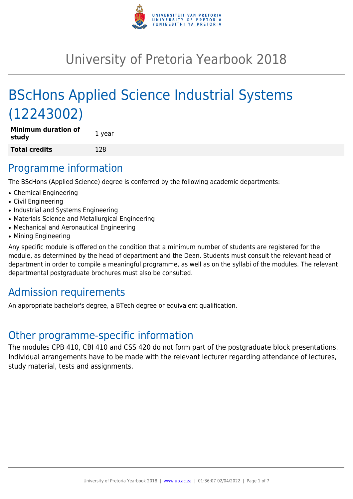

# University of Pretoria Yearbook 2018

# BScHons Applied Science Industrial Systems (12243002)

**Minimum duration of study** 1 year **Total credits** 128

## Programme information

The BScHons (Applied Science) degree is conferred by the following academic departments:

- Chemical Engineering
- Civil Engineering
- Industrial and Systems Engineering
- Materials Science and Metallurgical Engineering
- Mechanical and Aeronautical Engineering
- Mining Engineering

Any specific module is offered on the condition that a minimum number of students are registered for the module, as determined by the head of department and the Dean. Students must consult the relevant head of department in order to compile a meaningful programme, as well as on the syllabi of the modules. The relevant departmental postgraduate brochures must also be consulted.

## Admission requirements

An appropriate bachelor's degree, a BTech degree or equivalent qualification.

## Other programme-specific information

The modules CPB 410, CBI 410 and CSS 420 do not form part of the postgraduate block presentations. Individual arrangements have to be made with the relevant lecturer regarding attendance of lectures, study material, tests and assignments.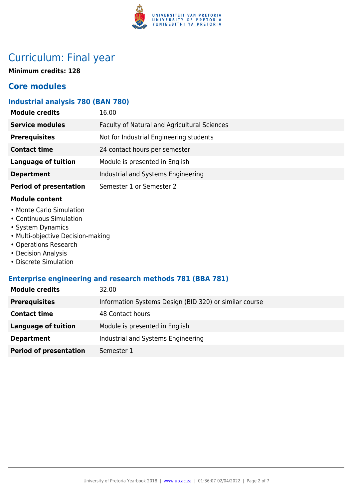

## Curriculum: Final year

**Minimum credits: 128**

## **Core modules**

## **Industrial analysis 780 (BAN 780)**

| <b>Module credits</b>         | 16.00                                        |
|-------------------------------|----------------------------------------------|
| <b>Service modules</b>        | Faculty of Natural and Agricultural Sciences |
| <b>Prerequisites</b>          | Not for Industrial Engineering students      |
| <b>Contact time</b>           | 24 contact hours per semester                |
| <b>Language of tuition</b>    | Module is presented in English               |
| <b>Department</b>             | Industrial and Systems Engineering           |
| <b>Period of presentation</b> | Semester 1 or Semester 2                     |

### **Module content**

- Monte Carlo Simulation
- Continuous Simulation
- System Dynamics
- Multi-objective Decision-making
- Operations Research
- Decision Analysis
- Discrete Simulation

### **Enterprise engineering and research methods 781 (BBA 781)**

| <b>Module credits</b>         | 32.00                                                  |
|-------------------------------|--------------------------------------------------------|
| <b>Prerequisites</b>          | Information Systems Design (BID 320) or similar course |
| <b>Contact time</b>           | 48 Contact hours                                       |
| Language of tuition           | Module is presented in English                         |
| <b>Department</b>             | Industrial and Systems Engineering                     |
| <b>Period of presentation</b> | Semester 1                                             |
|                               |                                                        |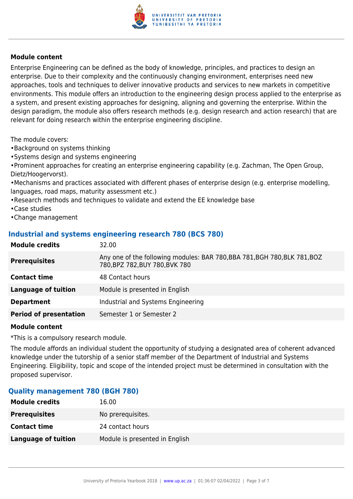

Enterprise Engineering can be defined as the body of knowledge, principles, and practices to design an enterprise. Due to their complexity and the continuously changing environment, enterprises need new approaches, tools and techniques to deliver innovative products and services to new markets in competitive environments. This module offers an introduction to the engineering design process applied to the enterprise as a system, and present existing approaches for designing, aligning and governing the enterprise. Within the design paradigm, the module also offers research methods (e.g. design research and action research) that are relevant for doing research within the enterprise engineering discipline.

The module covers:

- •Background on systems thinking
- •Systems design and systems engineering

•Prominent approaches for creating an enterprise engineering capability (e.g. Zachman, The Open Group, Dietz/Hoogervorst).

•Mechanisms and practices associated with different phases of enterprise design (e.g. enterprise modelling, languages, road maps, maturity assessment etc.)

- •Research methods and techniques to validate and extend the EE knowledge base
- •Case studies
- •Change management

### **Industrial and systems engineering research 780 (BCS 780)**

| <b>Module credits</b>         | 32.00                                                                                                       |
|-------------------------------|-------------------------------------------------------------------------------------------------------------|
| <b>Prerequisites</b>          | Any one of the following modules: BAR 780, BBA 781, BGH 780, BLK 781, BOZ<br>780, BPZ 782, BUY 780, BVK 780 |
| <b>Contact time</b>           | 48 Contact hours                                                                                            |
| <b>Language of tuition</b>    | Module is presented in English                                                                              |
| <b>Department</b>             | Industrial and Systems Engineering                                                                          |
| <b>Period of presentation</b> | Semester 1 or Semester 2                                                                                    |

### **Module content**

\*This is a compulsory research module.

The module affords an individual student the opportunity of studying a designated area of coherent advanced knowledge under the tutorship of a senior staff member of the Department of Industrial and Systems Engineering. Eligibility, topic and scope of the intended project must be determined in consultation with the proposed supervisor.

### **Quality management 780 (BGH 780)**

| <b>Module credits</b> | 16.00                          |
|-----------------------|--------------------------------|
| <b>Prerequisites</b>  | No prerequisites.              |
| <b>Contact time</b>   | 24 contact hours               |
| Language of tuition   | Module is presented in English |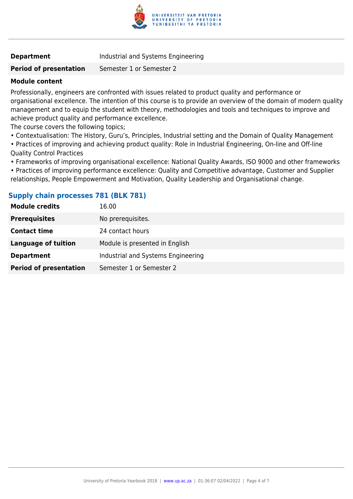

**Department Industrial and Systems Engineering** 

**Period of presentation** Semester 1 or Semester 2

### **Module content**

Professionally, engineers are confronted with issues related to product quality and performance or organisational excellence. The intention of this course is to provide an overview of the domain of modern quality management and to equip the student with theory, methodologies and tools and techniques to improve and achieve product quality and performance excellence.

The course covers the following topics;

- Contextualisation: The History, Guru's, Principles, Industrial setting and the Domain of Quality Management
- Practices of improving and achieving product quality: Role in Industrial Engineering, On-line and Off-line Quality Control Practices
- Frameworks of improving organisational excellence: National Quality Awards, ISO 9000 and other frameworks

• Practices of improving performance excellence: Quality and Competitive advantage, Customer and Supplier relationships, People Empowerment and Motivation, Quality Leadership and Organisational change.

### **Supply chain processes 781 (BLK 781)**

| <b>Module credits</b>         | 16.00                              |
|-------------------------------|------------------------------------|
| <b>Prerequisites</b>          | No prerequisites.                  |
| <b>Contact time</b>           | 24 contact hours                   |
| Language of tuition           | Module is presented in English     |
| <b>Department</b>             | Industrial and Systems Engineering |
| <b>Period of presentation</b> | Semester 1 or Semester 2           |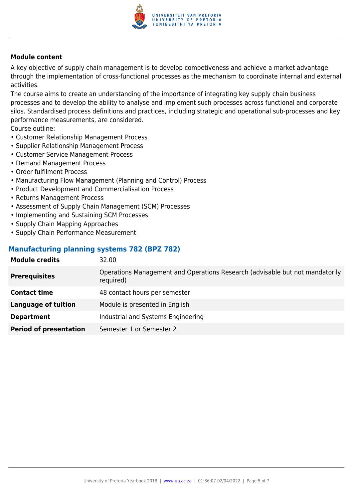

A key objective of supply chain management is to develop competiveness and achieve a market advantage through the implementation of cross-functional processes as the mechanism to coordinate internal and external activities.

The course aims to create an understanding of the importance of integrating key supply chain business processes and to develop the ability to analyse and implement such processes across functional and corporate silos. Standardised process definitions and practices, including strategic and operational sub-processes and key performance measurements, are considered.

Course outline:

- Customer Relationship Management Process
- Supplier Relationship Management Process
- Customer Service Management Process
- Demand Management Process
- Order fulfilment Process
- Manufacturing Flow Management (Planning and Control) Process
- Product Development and Commercialisation Process
- Returns Management Process
- Assessment of Supply Chain Management (SCM) Processes
- Implementing and Sustaining SCM Processes
- Supply Chain Mapping Approaches
- Supply Chain Performance Measurement

### **Manufacturing planning systems 782 (BPZ 782)**

| <b>Module credits</b>         | 32.00                                                                                     |
|-------------------------------|-------------------------------------------------------------------------------------------|
| <b>Prerequisites</b>          | Operations Management and Operations Research (advisable but not mandatorily<br>required) |
| <b>Contact time</b>           | 48 contact hours per semester                                                             |
| <b>Language of tuition</b>    | Module is presented in English                                                            |
| <b>Department</b>             | Industrial and Systems Engineering                                                        |
| <b>Period of presentation</b> | Semester 1 or Semester 2                                                                  |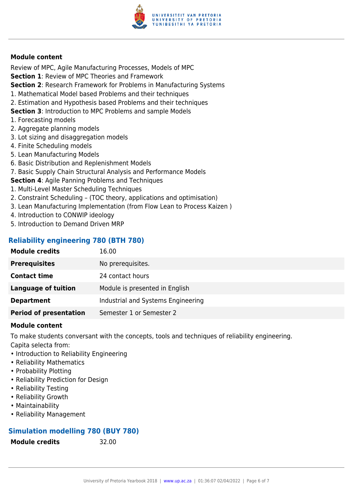

Review of MPC, Agile Manufacturing Processes, Models of MPC

**Section 1**: Review of MPC Theories and Framework

**Section 2**: Research Framework for Problems in Manufacturing Systems

- 1. Mathematical Model based Problems and their techniques
- 2. Estimation and Hypothesis based Problems and their techniques

**Section 3**: Introduction to MPC Problems and sample Models

- 1. Forecasting models
- 2. Aggregate planning models
- 3. Lot sizing and disaggregation models
- 4. Finite Scheduling models
- 5. Lean Manufacturing Models
- 6. Basic Distribution and Replenishment Models
- 7. Basic Supply Chain Structural Analysis and Performance Models

**Section 4**: Agile Panning Problems and Techniques

- 1. Multi-Level Master Scheduling Techniques
- 2. Constraint Scheduling (TOC theory, applications and optimisation)
- 3. Lean Manufacturing Implementation (from Flow Lean to Process Kaizen )
- 4. Introduction to CONWIP ideology
- 5. Introduction to Demand Driven MRP

### **Reliability engineering 780 (BTH 780)**

| <b>Module credits</b>         | 16.00                              |
|-------------------------------|------------------------------------|
| <b>Prerequisites</b>          | No prerequisites.                  |
| <b>Contact time</b>           | 24 contact hours                   |
| <b>Language of tuition</b>    | Module is presented in English     |
| <b>Department</b>             | Industrial and Systems Engineering |
| <b>Period of presentation</b> | Semester 1 or Semester 2           |

### **Module content**

To make students conversant with the concepts, tools and techniques of reliability engineering.

Capita selecta from:

- Introduction to Reliability Engineering
- Reliability Mathematics
- Probability Plotting
- Reliability Prediction for Design
- Reliability Testing
- Reliability Growth
- Maintainability
- Reliability Management

### **Simulation modelling 780 (BUY 780)**

**Module credits** 32.00